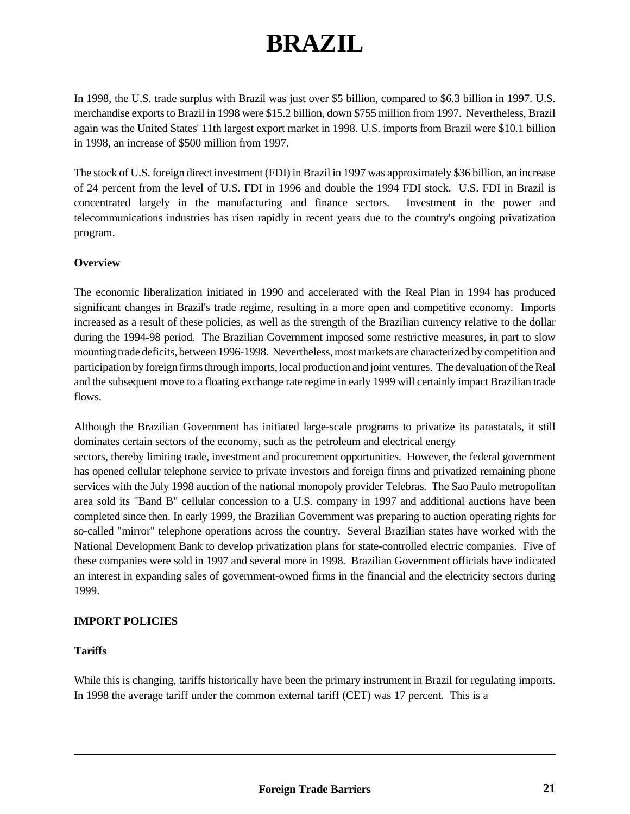# **BRAZIL**

In 1998, the U.S. trade surplus with Brazil was just over \$5 billion, compared to \$6.3 billion in 1997. U.S. merchandise exports to Brazil in 1998 were \$15.2 billion, down \$755 million from 1997. Nevertheless, Brazil again was the United States' 11th largest export market in 1998. U.S. imports from Brazil were \$10.1 billion in 1998, an increase of \$500 million from 1997.

The stock of U.S. foreign direct investment (FDI) in Brazil in 1997 was approximately \$36 billion, an increase of 24 percent from the level of U.S. FDI in 1996 and double the 1994 FDI stock. U.S. FDI in Brazil is concentrated largely in the manufacturing and finance sectors. Investment in the power and telecommunications industries has risen rapidly in recent years due to the country's ongoing privatization program.

# **Overview**

The economic liberalization initiated in 1990 and accelerated with the Real Plan in 1994 has produced significant changes in Brazil's trade regime, resulting in a more open and competitive economy. Imports increased as a result of these policies, as well as the strength of the Brazilian currency relative to the dollar during the 1994-98 period. The Brazilian Government imposed some restrictive measures, in part to slow mounting trade deficits, between 1996-1998. Nevertheless, most markets are characterized by competition and participation by foreign firms through imports, local production and joint ventures. The devaluation of the Real and the subsequent move to a floating exchange rate regime in early 1999 will certainly impact Brazilian trade flows.

Although the Brazilian Government has initiated large-scale programs to privatize its parastatals, it still dominates certain sectors of the economy, such as the petroleum and electrical energy sectors, thereby limiting trade, investment and procurement opportunities. However, the federal government has opened cellular telephone service to private investors and foreign firms and privatized remaining phone services with the July 1998 auction of the national monopoly provider Telebras. The Sao Paulo metropolitan area sold its "Band B" cellular concession to a U.S. company in 1997 and additional auctions have been completed since then. In early 1999, the Brazilian Government was preparing to auction operating rights for so-called "mirror" telephone operations across the country. Several Brazilian states have worked with the National Development Bank to develop privatization plans for state-controlled electric companies. Five of these companies were sold in 1997 and several more in 1998. Brazilian Government officials have indicated an interest in expanding sales of government-owned firms in the financial and the electricity sectors during 1999.

# **IMPORT POLICIES**

## **Tariffs**

While this is changing, tariffs historically have been the primary instrument in Brazil for regulating imports. In 1998 the average tariff under the common external tariff (CET) was 17 percent. This is a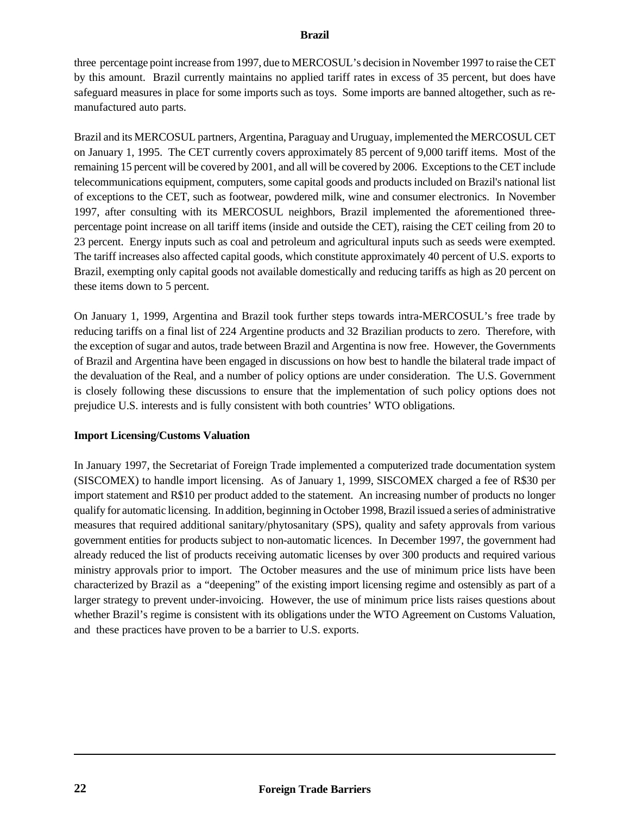three percentage point increase from 1997, due to MERCOSUL's decision in November 1997 to raise the CET by this amount. Brazil currently maintains no applied tariff rates in excess of 35 percent, but does have safeguard measures in place for some imports such as toys. Some imports are banned altogether, such as remanufactured auto parts.

Brazil and its MERCOSUL partners, Argentina, Paraguay and Uruguay, implemented the MERCOSUL CET on January 1, 1995. The CET currently covers approximately 85 percent of 9,000 tariff items. Most of the remaining 15 percent will be covered by 2001, and all will be covered by 2006. Exceptions to the CET include telecommunications equipment, computers, some capital goods and products included on Brazil's national list of exceptions to the CET, such as footwear, powdered milk, wine and consumer electronics. In November 1997, after consulting with its MERCOSUL neighbors, Brazil implemented the aforementioned threepercentage point increase on all tariff items (inside and outside the CET), raising the CET ceiling from 20 to 23 percent. Energy inputs such as coal and petroleum and agricultural inputs such as seeds were exempted. The tariff increases also affected capital goods, which constitute approximately 40 percent of U.S. exports to Brazil, exempting only capital goods not available domestically and reducing tariffs as high as 20 percent on these items down to 5 percent.

On January 1, 1999, Argentina and Brazil took further steps towards intra-MERCOSUL's free trade by reducing tariffs on a final list of 224 Argentine products and 32 Brazilian products to zero. Therefore, with the exception of sugar and autos, trade between Brazil and Argentina is now free. However, the Governments of Brazil and Argentina have been engaged in discussions on how best to handle the bilateral trade impact of the devaluation of the Real, and a number of policy options are under consideration. The U.S. Government is closely following these discussions to ensure that the implementation of such policy options does not prejudice U.S. interests and is fully consistent with both countries' WTO obligations.

## **Import Licensing/Customs Valuation**

In January 1997, the Secretariat of Foreign Trade implemented a computerized trade documentation system (SISCOMEX) to handle import licensing. As of January 1, 1999, SISCOMEX charged a fee of R\$30 per import statement and R\$10 per product added to the statement. An increasing number of products no longer qualify for automatic licensing. In addition, beginning in October 1998, Brazil issued a series of administrative measures that required additional sanitary/phytosanitary (SPS), quality and safety approvals from various government entities for products subject to non-automatic licences. In December 1997, the government had already reduced the list of products receiving automatic licenses by over 300 products and required various ministry approvals prior to import. The October measures and the use of minimum price lists have been characterized by Brazil as a "deepening" of the existing import licensing regime and ostensibly as part of a larger strategy to prevent under-invoicing. However, the use of minimum price lists raises questions about whether Brazil's regime is consistent with its obligations under the WTO Agreement on Customs Valuation, and these practices have proven to be a barrier to U.S. exports.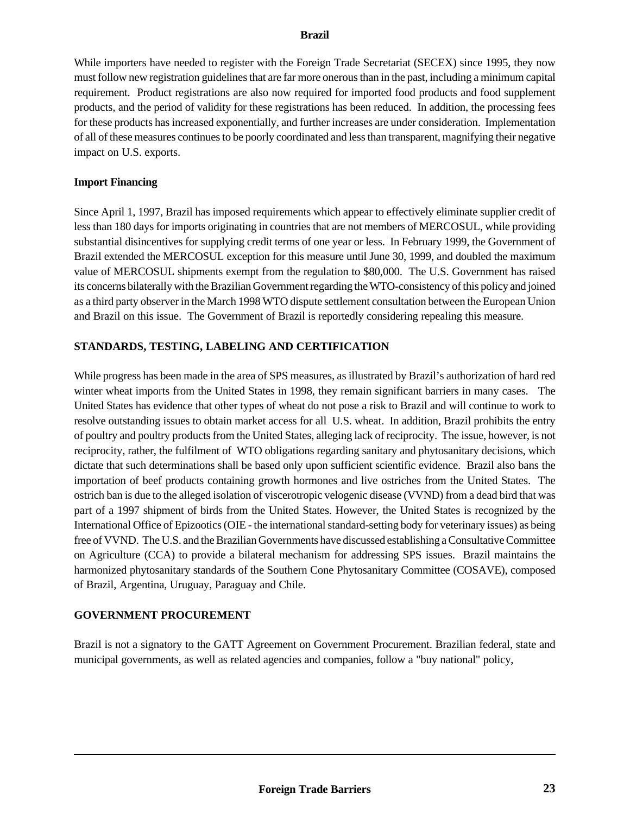While importers have needed to register with the Foreign Trade Secretariat (SECEX) since 1995, they now must follow new registration guidelines that are far more onerous than in the past, including a minimum capital requirement. Product registrations are also now required for imported food products and food supplement products, and the period of validity for these registrations has been reduced. In addition, the processing fees for these products has increased exponentially, and further increases are under consideration. Implementation of all of these measures continues to be poorly coordinated and less than transparent, magnifying their negative impact on U.S. exports.

#### **Import Financing**

Since April 1, 1997, Brazil has imposed requirements which appear to effectively eliminate supplier credit of less than 180 days for imports originating in countries that are not members of MERCOSUL, while providing substantial disincentives for supplying credit terms of one year or less. In February 1999, the Government of Brazil extended the MERCOSUL exception for this measure until June 30, 1999, and doubled the maximum value of MERCOSUL shipments exempt from the regulation to \$80,000. The U.S. Government has raised its concerns bilaterally with the Brazilian Government regarding the WTO-consistency of this policy and joined as a third party observer in the March 1998 WTO dispute settlement consultation between the European Union and Brazil on this issue.The Government of Brazil is reportedly considering repealing this measure.

## **STANDARDS, TESTING, LABELING AND CERTIFICATION**

While progress has been made in the area of SPS measures, as illustrated by Brazil's authorization of hard red winter wheat imports from the United States in 1998, they remain significant barriers in many cases. The United States has evidence that other types of wheat do not pose a risk to Brazil and will continue to work to resolve outstanding issues to obtain market access for all U.S. wheat. In addition, Brazil prohibits the entry of poultry and poultry products from the United States, alleging lack of reciprocity. The issue, however, is not reciprocity, rather, the fulfilment of WTO obligations regarding sanitary and phytosanitary decisions, which dictate that such determinations shall be based only upon sufficient scientific evidence. Brazil also bans the importation of beef products containing growth hormones and live ostriches from the United States. The ostrich ban is due to the alleged isolation of viscerotropic velogenic disease (VVND) from a dead bird that was part of a 1997 shipment of birds from the United States. However, the United States is recognized by the International Office of Epizootics (OIE - the international standard-setting body for veterinary issues) as being free of VVND. The U.S. and the Brazilian Governments have discussed establishing a Consultative Committee on Agriculture (CCA) to provide a bilateral mechanism for addressing SPS issues. Brazil maintains the harmonized phytosanitary standards of the Southern Cone Phytosanitary Committee (COSAVE), composed of Brazil, Argentina, Uruguay, Paraguay and Chile.

## **GOVERNMENT PROCUREMENT**

Brazil is not a signatory to the GATT Agreement on Government Procurement. Brazilian federal, state and municipal governments, as well as related agencies and companies, follow a "buy national" policy,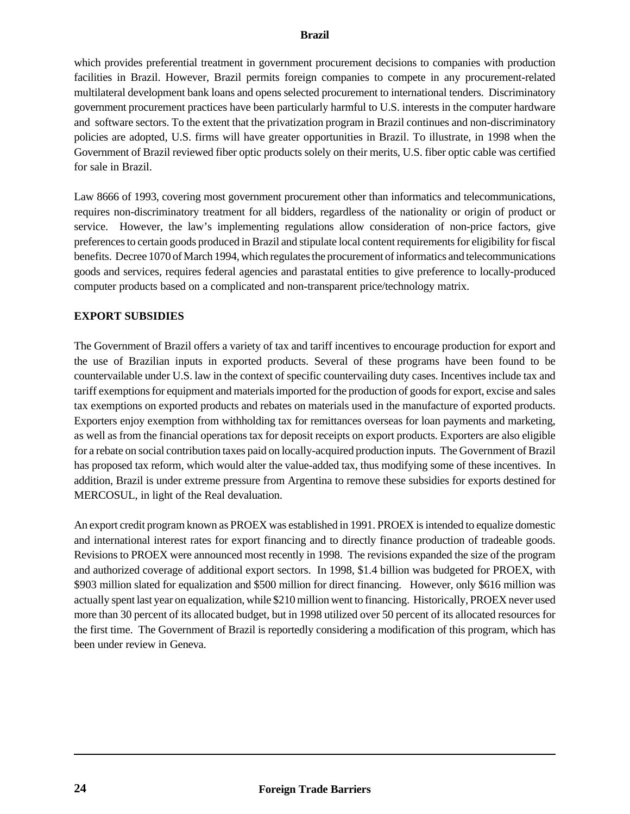which provides preferential treatment in government procurement decisions to companies with production facilities in Brazil. However, Brazil permits foreign companies to compete in any procurement-related multilateral development bank loans and opens selected procurement to international tenders. Discriminatory government procurement practices have been particularly harmful to U.S. interests in the computer hardware and software sectors. To the extent that the privatization program in Brazil continues and non-discriminatory policies are adopted, U.S. firms will have greater opportunities in Brazil. To illustrate, in 1998 when the Government of Brazil reviewed fiber optic products solely on their merits, U.S. fiber optic cable was certified for sale in Brazil.

Law 8666 of 1993, covering most government procurement other than informatics and telecommunications, requires non-discriminatory treatment for all bidders, regardless of the nationality or origin of product or service. However, the law's implementing regulations allow consideration of non-price factors, give preferences to certain goods produced in Brazil and stipulate local content requirements for eligibility for fiscal benefits. Decree 1070 of March 1994, which regulates the procurement of informatics and telecommunications goods and services, requires federal agencies and parastatal entities to give preference to locally-produced computer products based on a complicated and non-transparent price/technology matrix.

## **EXPORT SUBSIDIES**

The Government of Brazil offers a variety of tax and tariff incentives to encourage production for export and the use of Brazilian inputs in exported products. Several of these programs have been found to be countervailable under U.S. law in the context of specific countervailing duty cases. Incentives include tax and tariff exemptions for equipment and materials imported for the production of goods for export, excise and sales tax exemptions on exported products and rebates on materials used in the manufacture of exported products. Exporters enjoy exemption from withholding tax for remittances overseas for loan payments and marketing, as well as from the financial operations tax for deposit receipts on export products. Exporters are also eligible for a rebate on social contribution taxes paid on locally-acquired production inputs. The Government of Brazil has proposed tax reform, which would alter the value-added tax, thus modifying some of these incentives. In addition, Brazil is under extreme pressure from Argentina to remove these subsidies for exports destined for MERCOSUL, in light of the Real devaluation.

An export credit program known as PROEX was established in 1991. PROEX is intended to equalize domestic and international interest rates for export financing and to directly finance production of tradeable goods. Revisions to PROEX were announced most recently in 1998. The revisions expanded the size of the program and authorized coverage of additional export sectors. In 1998, \$1.4 billion was budgeted for PROEX, with \$903 million slated for equalization and \$500 million for direct financing. However, only \$616 million was actually spent last year on equalization, while \$210 million went to financing. Historically, PROEX never used more than 30 percent of its allocated budget, but in 1998 utilized over 50 percent of its allocated resources for the first time. The Government of Brazil is reportedly considering a modification of this program, which has been under review in Geneva.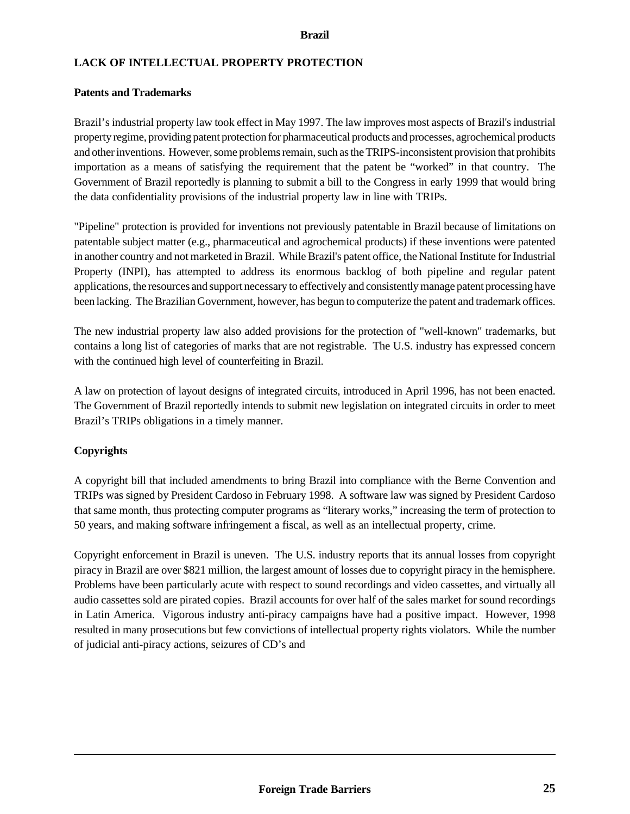# **LACK OF INTELLECTUAL PROPERTY PROTECTION**

## **Patents and Trademarks**

Brazil's industrial property law took effect in May 1997. The law improves most aspects of Brazil's industrial property regime, providing patent protection for pharmaceutical products and processes, agrochemical products and other inventions. However, some problems remain, such as the TRIPS-inconsistent provision that prohibits importation as a means of satisfying the requirement that the patent be "worked" in that country. The Government of Brazil reportedly is planning to submit a bill to the Congress in early 1999 that would bring the data confidentiality provisions of the industrial property law in line with TRIPs.

"Pipeline" protection is provided for inventions not previously patentable in Brazil because of limitations on patentable subject matter (e.g., pharmaceutical and agrochemical products) if these inventions were patented in another country and not marketed in Brazil. While Brazil's patent office, the National Institute for Industrial Property (INPI), has attempted to address its enormous backlog of both pipeline and regular patent applications, the resources and support necessary to effectively and consistently manage patent processing have been lacking. The Brazilian Government, however, has begun to computerize the patent and trademark offices.

The new industrial property law also added provisions for the protection of "well-known" trademarks, but contains a long list of categories of marks that are not registrable. The U.S. industry has expressed concern with the continued high level of counterfeiting in Brazil.

A law on protection of layout designs of integrated circuits, introduced in April 1996, has not been enacted. The Government of Brazil reportedly intends to submit new legislation on integrated circuits in order to meet Brazil's TRIPs obligations in a timely manner.

# **Copyrights**

A copyright bill that included amendments to bring Brazil into compliance with the Berne Convention and TRIPs was signed by President Cardoso in February 1998. A software law was signed by President Cardoso that same month, thus protecting computer programs as "literary works," increasing the term of protection to 50 years, and making software infringement a fiscal, as well as an intellectual property, crime.

Copyright enforcement in Brazil is uneven. The U.S. industry reports that its annual losses from copyright piracy in Brazil are over \$821 million, the largest amount of losses due to copyright piracy in the hemisphere. Problems have been particularly acute with respect to sound recordings and video cassettes, and virtually all audio cassettes sold are pirated copies. Brazil accounts for over half of the sales market for sound recordings in Latin America. Vigorous industry anti-piracy campaigns have had a positive impact. However, 1998 resulted in many prosecutions but few convictions of intellectual property rights violators. While the number of judicial anti-piracy actions, seizures of CD's and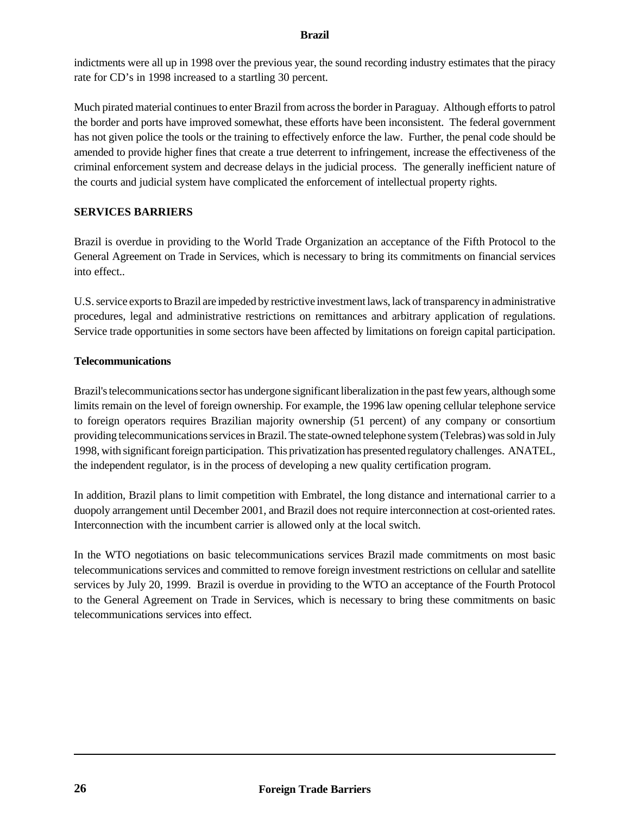indictments were all up in 1998 over the previous year, the sound recording industry estimates that the piracy rate for CD's in 1998 increased to a startling 30 percent.

Much pirated material continues to enter Brazil from across the border in Paraguay. Although efforts to patrol the border and ports have improved somewhat, these efforts have been inconsistent. The federal government has not given police the tools or the training to effectively enforce the law. Further, the penal code should be amended to provide higher fines that create a true deterrent to infringement, increase the effectiveness of the criminal enforcement system and decrease delays in the judicial process. The generally inefficient nature of the courts and judicial system have complicated the enforcement of intellectual property rights.

# **SERVICES BARRIERS**

Brazil is overdue in providing to the World Trade Organization an acceptance of the Fifth Protocol to the General Agreement on Trade in Services, which is necessary to bring its commitments on financial services into effect..

U.S. service exports to Brazil are impeded by restrictive investment laws, lack of transparency in administrative procedures, legal and administrative restrictions on remittances and arbitrary application of regulations. Service trade opportunities in some sectors have been affected by limitations on foreign capital participation.

## **Telecommunications**

Brazil's telecommunications sector has undergone significant liberalization in the past few years, although some limits remain on the level of foreign ownership. For example, the 1996 law opening cellular telephone service to foreign operators requires Brazilian majority ownership (51 percent) of any company or consortium providing telecommunications services in Brazil. The state-owned telephone system (Telebras) was sold in July 1998, with significant foreign participation. This privatization has presented regulatory challenges. ANATEL, the independent regulator, is in the process of developing a new quality certification program.

In addition, Brazil plans to limit competition with Embratel, the long distance and international carrier to a duopoly arrangement until December 2001, and Brazil does not require interconnection at cost-oriented rates. Interconnection with the incumbent carrier is allowed only at the local switch.

In the WTO negotiations on basic telecommunications services Brazil made commitments on most basic telecommunications services and committed to remove foreign investment restrictions on cellular and satellite services by July 20, 1999. Brazil is overdue in providing to the WTO an acceptance of the Fourth Protocol to the General Agreement on Trade in Services, which is necessary to bring these commitments on basic telecommunications services into effect.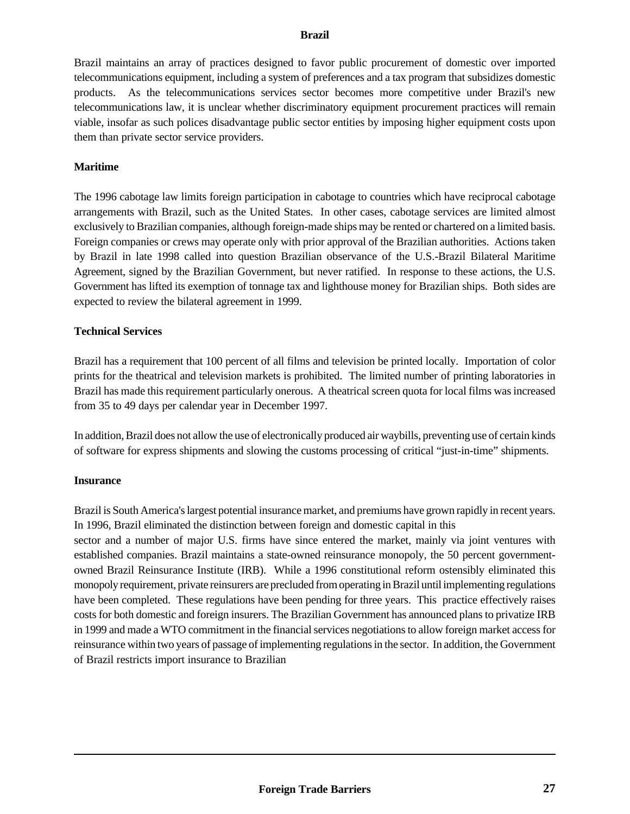Brazil maintains an array of practices designed to favor public procurement of domestic over imported telecommunications equipment, including a system of preferences and a tax program that subsidizes domestic products. As the telecommunications services sector becomes more competitive under Brazil's new telecommunications law, it is unclear whether discriminatory equipment procurement practices will remain viable, insofar as such polices disadvantage public sector entities by imposing higher equipment costs upon them than private sector service providers.

## **Maritime**

The 1996 cabotage law limits foreign participation in cabotage to countries which have reciprocal cabotage arrangements with Brazil, such as the United States. In other cases, cabotage services are limited almost exclusively to Brazilian companies, although foreign-made ships may be rented or chartered on a limited basis. Foreign companies or crews may operate only with prior approval of the Brazilian authorities. Actions taken by Brazil in late 1998 called into question Brazilian observance of the U.S.-Brazil Bilateral Maritime Agreement, signed by the Brazilian Government, but never ratified. In response to these actions, the U.S. Government has lifted its exemption of tonnage tax and lighthouse money for Brazilian ships. Both sides are expected to review the bilateral agreement in 1999.

#### **Technical Services**

Brazil has a requirement that 100 percent of all films and television be printed locally. Importation of color prints for the theatrical and television markets is prohibited. The limited number of printing laboratories in Brazil has made this requirement particularly onerous. A theatrical screen quota for local films was increased from 35 to 49 days per calendar year in December 1997.

In addition, Brazil does not allow the use of electronically produced air waybills, preventing use of certain kinds of software for express shipments and slowing the customs processing of critical "just-in-time" shipments.

#### **Insurance**

Brazil is South America's largest potential insurance market, and premiums have grown rapidly in recent years. In 1996, Brazil eliminated the distinction between foreign and domestic capital in this

sector and a number of major U.S. firms have since entered the market, mainly via joint ventures with established companies. Brazil maintains a state-owned reinsurance monopoly, the 50 percent governmentowned Brazil Reinsurance Institute (IRB). While a 1996 constitutional reform ostensibly eliminated this monopoly requirement, private reinsurers are precluded from operating in Brazil until implementing regulations have been completed. These regulations have been pending for three years. This practice effectively raises costs for both domestic and foreign insurers. The Brazilian Government has announced plans to privatize IRB in 1999 and made a WTO commitment in the financial services negotiations to allow foreign market access for reinsurance within two years of passage of implementing regulations in the sector. In addition, the Government of Brazil restricts import insurance to Brazilian